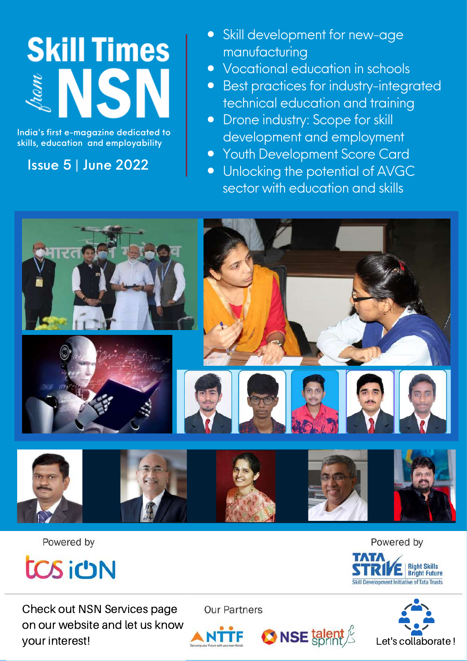# **Skill Times**

India's first e-magazine dedicated to skills, education and employability

Issue 5 | June 2022

- Skill development for new-age  $\bullet$ manufacturing
- Vocational education in schools  $\bullet$
- Best practices for industry-integrated  $\bullet$ technical education and training
- Drone industry: Scope for skill  $\bullet$ development and employment
- **Youth Development Score Card**  $\bullet$
- Unlocking the potential of AVGC  $\bullet$ sector with education and skills



Powered by



Check out NSN Services page on our website and let us know your interest!

**Our Partners** 

 $\bigcirc$  NSE talent  $\frac{\cancel{c}}{\cancel{c}}$ 







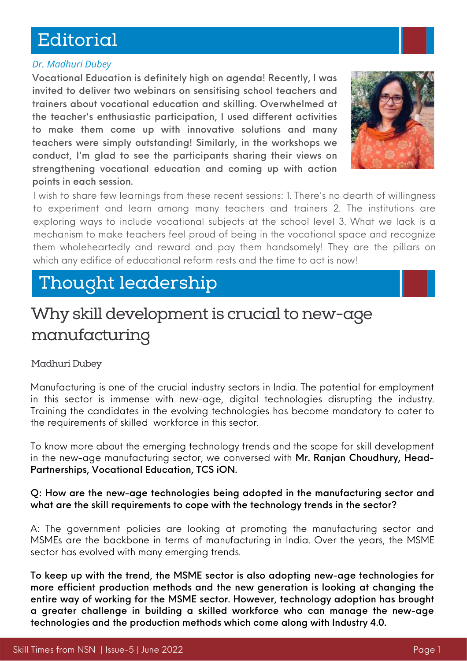# Editorial

## *Dr. Madhuri Dubey*

Vocational Education is definitely high on agenda! Recently, I was invited to deliver two webinars on sensitising school teachers and trainers about vocational education and skilling. Overwhelmed at the teacher's enthusiastic participation, I used different activities to make them come up with innovative solutions and many teachers were simply outstanding! Similarly, in the workshops we conduct, I'm glad to see the participants sharing their views on strengthening vocational education and coming up with action points in each session.



I wish to share few learnings from these recent sessions: 1. There's no dearth of willingness to experiment and learn among many teachers and trainers 2. The institutions are exploring ways to include vocational subjects at the school level 3. What we lack is a mechanism to make teachers feel proud of being in the vocational space and recognize them wholeheartedly and reward and pay them handsomely! They are the pillars on which any edifice of educational reform rests and the time to act is now!

# Thought leadership

# Why skill development is crucial to new-age manufacturing

## Madhuri Dubey

Manufacturing is one of the crucial industry sectors in India. The potential for employment in this sector is immense with new-age, digital technologies disrupting the industry. Training the candidates in the evolving technologies has become mandatory to cater to the requirements of skilled workforce in this sector.

To know more about the emerging technology trends and the scope for skill development in the new-age manufacturing sector, we conversed with Mr. Ranjan Choudhury, Head-Partnerships, Vocational Education, TCS [iON.](https://learning.tcsionhub.in/hub/ve/)

## Q: How are the new-age technologies being adopted in the manufacturing sector and what are the skill requirements to cope with the technology trends in the sector?

A: The government policies are looking at promoting the manufacturing sector and MSMEs are the backbone in terms of manufacturing in India. Over the years, the MSME sector has evolved with many emerging trends.

To keep up with the trend, the MSME sector is also adopting new-age technologies for more efficient production methods and the new generation is looking at changing the entire way of working for the MSME sector. However, technology adoption has brought a greater challenge in building a skilled workforce who can manage the new-age technologies and the production methods which come along with Industry 4.0.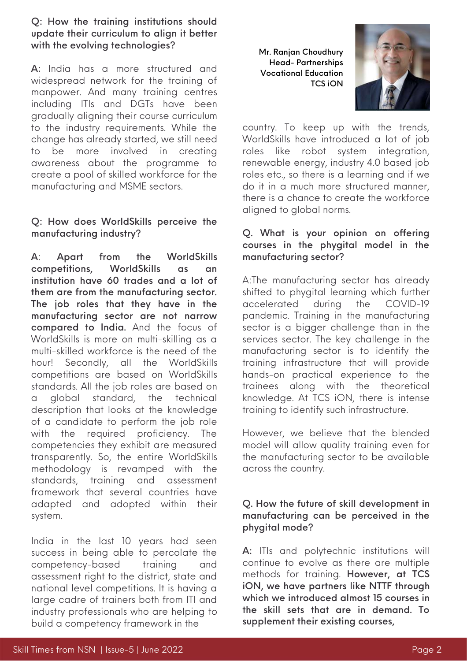## Q: How the training institutions should update their curriculum to align it better with the evolving technologies?

A: India has a more structured and widespread network for the training of manpower. And many training centres including ITIs and DGTs have been gradually aligning their course curriculum to the industry requirements. While the change has already started, we still need to be more involved in creating awareness about the programme to create a pool of skilled workforce for the manufacturing and MSME sectors.

## Q: How does WorldSkills perceive the manufacturing industry?

A: Apart from the WorldSkills competitions, WorldSkills as an institution have 60 trades and a lot of them are from the manufacturing sector. The job roles that they have in the manufacturing sector are not narrow compared to India. And the focus of WorldSkills is more on multi-skilling as a multi-skilled workforce is the need of the hour! Secondly, all the WorldSkills competitions are based on WorldSkills standards. All the job roles are based on a global standard, the technical description that looks at the knowledge of a candidate to perform the job role with the required proficiency. The competencies they exhibit are measured transparently. So, the entire WorldSkills methodology is revamped with the standards, training and assessment framework that several countries have adapted and adopted within their system.

India in the last 10 years had seen success in being able to percolate the competency-based training and assessment right to the district, state and national level competitions. It is having a large cadre of trainers both from ITI and industry professionals who are helping to build a competency framework in the

Mr. Ranjan Choudhury Head- Partnerships Vocational Education [TCS](https://learning.tcsionhub.in/hub/ve/) iON



country. To keep up with the trends, WorldSkills have introduced a lot of job roles like robot system integration, renewable energy, industry 4.0 based job roles etc., so there is a learning and if we do it in a much more structured manner, there is a chance to create the workforce aligned to global norms.

## Q. What is your opinion on offering courses in the phygital model in the manufacturing sector?

A:The manufacturing sector has already shifted to phygital learning which further accelerated during the COVID-19 pandemic. Training in the manufacturing sector is a bigger challenge than in the services sector. The key challenge in the manufacturing sector is to identify the training infrastructure that will provide hands-on practical experience to the trainees along with the theoretical knowledge. At TCS iON, there is intense training to identify such infrastructure.

However, we believe that the blended model will allow quality training even for the manufacturing sector to be available across the country.

## Q. How the future of skill development in manufacturing can be perceived in the phygital mode?

A: ITIs and polytechnic institutions will continue to evolve as there are multiple methods for training. However, at TCS iON, we have partners like NTTF through which we introduced almost 15 courses in the skill sets that are in demand. To supplement their existing courses,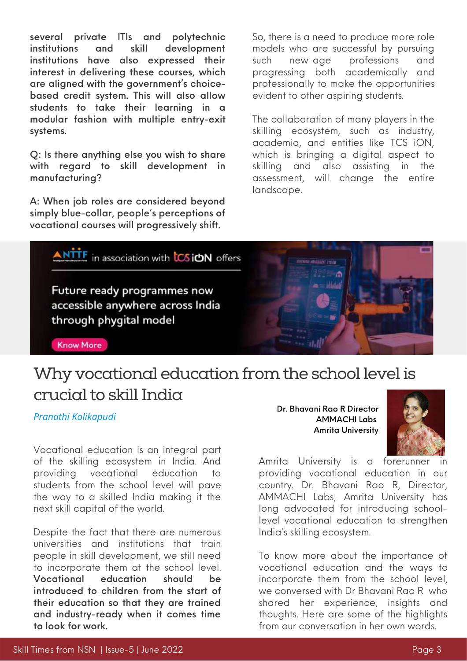several private ITIs and polytechnic institutions and skill development institutions have also expressed their interest in delivering these courses, which are aligned with the government's choicebased credit system. This will also allow students to take their learning in a modular fashion with multiple entry-exit systems.

Q: Is there anything else you wish to share with regard to skill development in manufacturing?

A: When job roles are considered beyond simply blue-collar, people's perceptions of vocational courses will progressively shift.

So, there is a need to produce more role models who are successful by pursuing such new-age professions and progressing both academically and professionally to make the opportunities evident to other aspiring students.

The collaboration of many players in the skilling ecosystem, such as industry, academia, and entities like TCS iON, which is bringing a digital aspect to skilling and also assisting in the assessment, will change the entire landscape.



## Why vocational education from the school level is crucial to skill India

#### *Pranathi Kolikapudi*

Vocational education is an integral part of the skilling ecosystem in India. And providing vocational education to students from the school level will pave the way to a skilled India making it the next skill capital of the world.

Despite the fact that there are numerous universities and institutions that train people in skill development, we still need to incorporate them at the school level. Vocational education should be introduced to children from the start of their education so that they are trained and industry-ready when it comes time to look for work.

Dr. Bhavani Rao R Director [AMMACHI](https://ammachilabs.org/) Labs Amrita University



Amrita University is a forerunner in providing vocational education in our country. Dr. Bhavani Rao R, Director, [AMMACHI](https://ammachilabs.org/) Labs, Amrita University has long advocated for introducing schoollevel vocational education to strengthen India's skilling ecosystem.

To know more about the importance of vocational education and the ways to incorporate them from the school level, we conversed with Dr Bhavani Rao R who shared her experience, insights and thoughts. Here are some of the highlights from our conversation in her own words.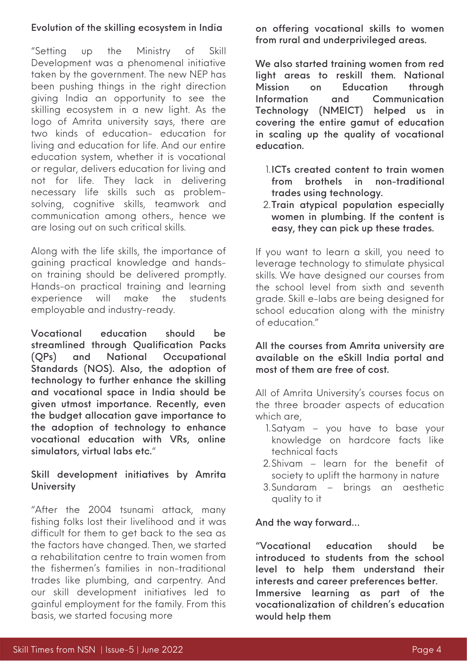## Evolution of the skilling ecosystem in India

"Setting up the Ministry of Skill Development was a phenomenal initiative taken by the government. The new NEP has been pushing things in the right direction giving India an opportunity to see the skilling ecosystem in a new light. As the logo of Amrita university says, there are two kinds of education- education for living and education for life. And our entire education system, whether it is vocational or regular, delivers education for living and not for life. They lack in delivering necessary life skills such as problemsolving, cognitive skills, teamwork and communication among others., hence we are losing out on such critical skills.

Along with the life skills, the importance of gaining practical knowledge and handson training should be delivered promptly. Hands-on practical training and learning experience will make the students employable and industry-ready.

Vocational education should be streamlined through Qualification Packs (QPs) and National Occupational Standards (NOS). Also, the adoption of technology to further enhance the skilling and vocational space in India should be given utmost importance. Recently, even the budget allocation gave importance to the adoption of technology to enhance vocational education with VRs, online simulators, virtual labs etc."

## Skill development initiatives by Amrita **University**

"After the 2004 tsunami attack, many fishing folks lost their livelihood and it was difficult for them to get back to the sea as the factors have changed. Then, we started a rehabilitation centre to train women from the fishermen's families in non-traditional trades like plumbing, and carpentry. And our skill development initiatives led to gainful employment for the family. From this basis, we started focusing more

on offering vocational skills to women from rural and underprivileged areas.

We also started training women from red light areas to reskill them. National Mission on Education through Information and Communication Technology (NMEICT) helped us in covering the entire gamut of education in scaling up the quality of vocational education.

- ICTs created content to train women 1. from brothels in non-traditional trades using technology.
- 2.Train atypical population especially women in plumbing. If the content is easy, they can pick up these trades.

If you want to learn a skill, you need to leverage technology to stimulate physical skills. We have designed our courses from the school level from sixth and seventh grade. Skill e-labs are being designed for school education along with the ministry of education."

All the courses from Amrita university are available on the eSkill India portal and most of them are free of cost.

All of Amrita University's courses focus on the three broader aspects of education which are,

- 1.Satyam you have to base your knowledge on hardcore facts like technical facts
- 2.Shivam learn for the benefit of society to uplift the harmony in nature
- Sundaram brings an aesthetic 3. quality to it

## And the way forward…

"Vocational education should be introduced to students from the school level to help them understand their interests and career preferences better. Immersive learning as part of the vocationalization of children's education would help them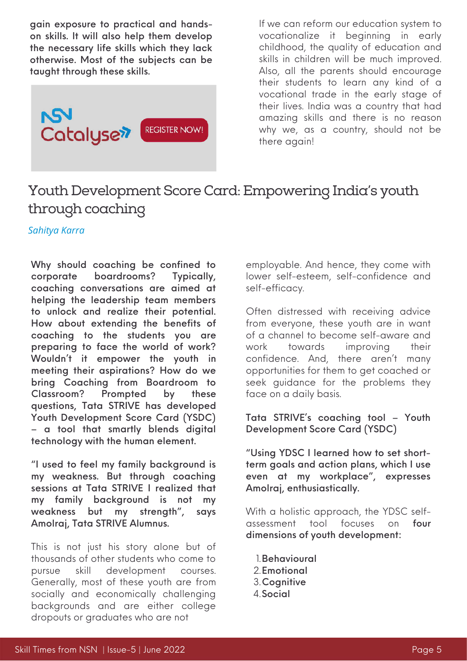gain exposure to practical and handson skills. It will also help them develop the necessary life skills which they lack otherwise. Most of the subjects can be taught through these skills.



If we can reform our education system to vocationalize it beginning in early childhood, the quality of education and skills in children will be much improved. Also, all the parents should encourage their students to learn any kind of a vocational trade in the early stage of their lives. India was a country that had amazing skills and there is no reason why we, as a country, should not be there again!

## Youth Development Score Card: Empowering India's youth through coaching

*Sahitya Karra*

Why should coaching be confined to corporate boardrooms? Typically, coaching conversations are aimed at helping the leadership team members to unlock and realize their potential. How about extending the benefits of coaching to the students you are preparing to face the world of work? Wouldn't it empower the youth in meeting their aspirations? How do we bring Coaching from Boardroom to Classroom? Prompted by these questions, Tata STRIVE has developed Youth Development Score Card (YSDC) – a tool that smartly blends digital technology with the human element.

"I used to feel my family background is my weakness. But through coaching sessions at Tata STRIVE I realized that my family background is not my weakness but my strength", says Amolraj, Tata STRIVE Alumnus.

This is not just his story alone but of thousands of other students who come to pursue skill development courses. Generally, most of these youth are from socially and economically challenging backgrounds and are either college dropouts or graduates who are not

employable. And hence, they come with lower self-esteem, self-confidence and self-efficacy.

Often distressed with receiving advice from everyone, these youth are in want of a channel to become self-aware and work towards improving their confidence. And, there aren't many opportunities for them to get coached or seek guidance for the problems they face on a daily basis.

Tata STRIVE's coaching tool – Youth Development Score Card (YSDC)

"Using YDSC I learned how to set shortterm goals and action plans, which I use even at my workplace", expresses Amolraj, enthusiastically.

With a holistic approach, the YDSC selfassessment tool focuses on four dimensions of youth development:

Behavioural 1. 2. Emotional Cognitive 3. 4. Social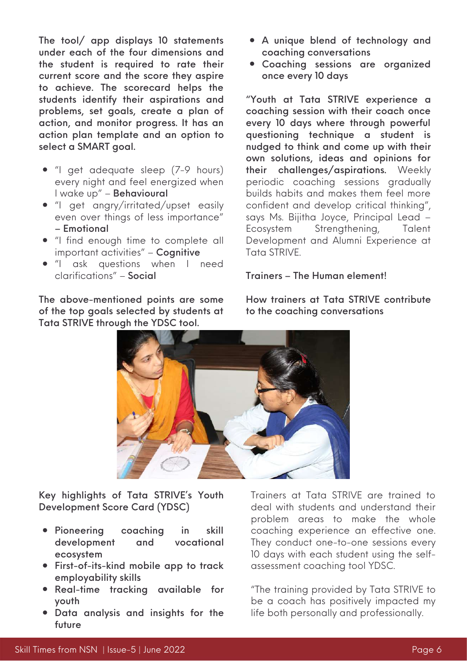The tool/ app displays 10 statements under each of the four dimensions and the student is required to rate their current score and the score they aspire to achieve. The scorecard helps the students identify their aspirations and problems, set goals, create a plan of action, and monitor progress. It has an action plan template and an option to select a SMART goal.

- "I get adequate sleep (7-9 hours) every night and feel energized when I wake up" – Behavioural
- "I get angry/irritated/upset easily even over things of less importance" – Emotional
- "I find enough time to complete all important activities" – Cognitive
- "I ask questions when I need clarifications" – Social

The above-mentioned points are some of the top goals selected by students at Tata STRIVE through the YDSC tool.

- A unique blend of technology and coaching conversations
- Coaching sessions are organized once every 10 days

"Youth at Tata STRIVE experience a coaching session with their coach once every 10 days where through powerful questioning technique a student is nudged to think and come up with their own solutions, ideas and opinions for their challenges/aspirations. Weekly periodic coaching sessions gradually builds habits and makes them feel more confident and develop critical thinking", says Ms. Bijitha Joyce, Principal Lead – Ecosystem Strengthening, Talent Development and Alumni Experience at Tata STRIVE.

#### Trainers – The Human element!



Key highlights of Tata STRIVE's Youth Development Score Card (YDSC)

- Pioneering coaching in skill development and vocational ecosystem
- First-of-its-kind mobile app to track employability skills
- Real-time tracking available for youth
- Data analysis and insights for the future

Trainers at Tata STRIVE are trained to deal with students and understand their problem areas to make the whole coaching experience an effective one. They conduct one-to-one sessions every 10 days with each student using the selfassessment coaching tool YDSC.

"The training provided by Tata STRIVE to be a coach has positively impacted my life both personally and professionally.

How trainers at Tata STRIVE contribute to the coaching conversations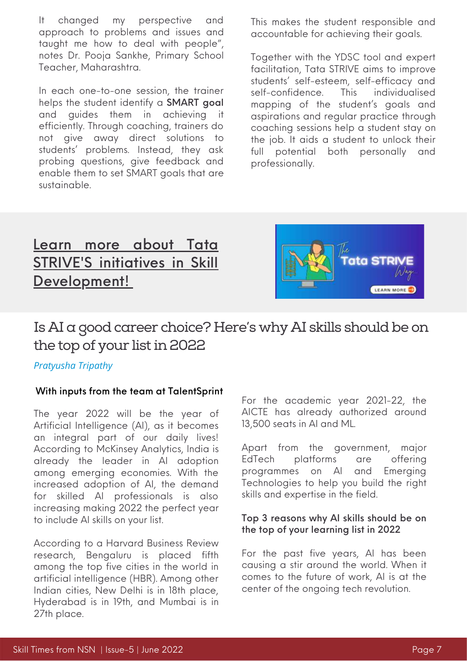It changed my perspective and approach to problems and issues and taught me how to deal with people", notes Dr. Pooja Sankhe, Primary School Teacher, Maharashtra.

In each one-to-one session, the trainer helps the student identify a **SMART** goal and guides them in achieving it efficiently. Through coaching, trainers do not give away direct solutions to students' problems. Instead, they ask probing questions, give feedback and enable them to set SMART goals that are sustainable.

This makes the student responsible and accountable for achieving their goals.

Together with the YDSC tool and expert facilitation, Tata STRIVE aims to improve students' self-esteem, self-efficacy and self-confidence. This individualised mapping of the student's goals and aspirations and regular practice through coaching sessions help a student stay on the job. It aids a student to unlock their full potential both personally and professionally.

## Learn more about Tata STRIVE'S initi[a](https://www.nationalskillsnetwork.in/tata-strive/)tives in Skill [Development!](https://www.nationalskillsnetwork.in/tata-strive/)



## Is AI a good career choice? Here's why AI skills should be on the top of your list in 2022

## *Pratyusha Tripathy*

## With inputs from the team at TalentSprint

The year 2022 will be the year of Artificial Intelligence (AI), as it becomes an integral part of our daily lives! According to McKinsey Analytics, India is already the leader in AI adoption among emerging economies. With the increased adoption of AI, the demand for skilled AI professionals is also increasing making 2022 the perfect year to include AI skills on your list.

According to a Harvard Business Review research, Bengaluru is placed fifth among the top five cities in the world in artificial intelligence (HBR). Among other Indian cities, New Delhi is in 18th place, Hyderabad is in 19th, and Mumbai is in 27th place.

For the academic year 2021-22, the AICTE has already authorized around 13,500 seats in AI and ML.

Apart from the government, major EdTech platforms are offering programmes on AI and Emerging [Technologies](https://iithyderabad.talentsprint.com/aiet/?utm_source=NSN&utm_medium=Article&utm_campaign=CareerinAI) to help you build the right skills and expertise in the field.

## Top 3 reasons why AI skills should be on the top of your learning list in 2022

For the past five years, AI has been causing a stir around the world. When it comes to the future of work, AI is at the center of the ongoing tech revolution.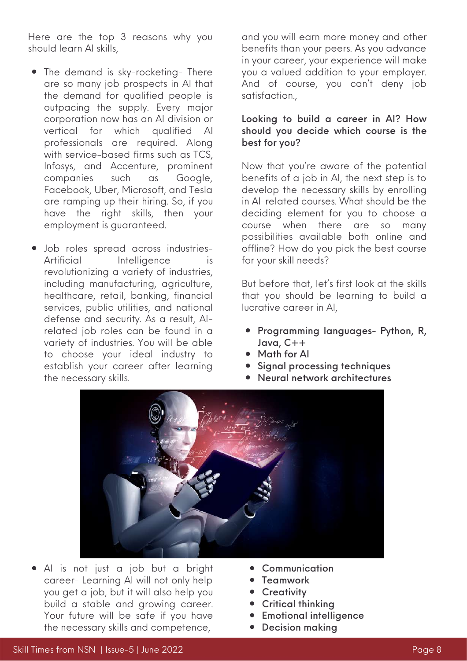Here are the top 3 reasons why you should learn AI skills,

- The demand is sky-rocketing- There are so many job prospects in AI that the demand for qualified people is outpacing the supply. Every major corporation now has an AI division or vertical for which qualified AI professionals are required. Along with service-based firms such as TCS, Infosys, and Accenture, prominent companies such as Google, Facebook, Uber, Microsoft, and Tesla are ramping up their hiring. So, if you have the right skills, then your employment is guaranteed.
- Job roles spread across industries-Artificial Intelligence is revolutionizing a variety of industries, including manufacturing, agriculture, healthcare, retail, banking, financial services, public utilities, and national defense and security. As a result, AIrelated job roles can be found in a variety of industries. You will be able to choose your ideal industry to establish your career after learning the necessary skills.

and you will earn more money and other benefits than your peers. As you advance in your career, your experience will make you a valued addition to your employer. And of course, you can't deny job satisfaction.,

## Looking to build a career in AI? How should you decide which course is the best for you?

Now that you're aware of the potential benefits of a job in AI, the next step is to develop the necessary skills by enrolling in AI-related courses. What should be the deciding element for you to choose a course when there are so many possibilities available both online and offline? How do you pick the best course for your skill needs?

But before that, let's first look at the skills that you should be learning to build a lucrative career in AI,

- Programming languages- Python, R, Java, C++
- Math for Al
- **•** Signal processing techniques
- Neural network architectures



- AI is not just a job but a bright career- Learning AI will not only help you get a job, but it will also help you build a stable and growing career. Your future will be safe if you have the necessary skills and competence,
- [Communication](https://www.nationalskillsnetwork.in/communication-skills-for-crisis-management-amid-covid-19/)
- **Teamwork**
- **•** Creativity
- Critical thinking
- **•** Emotional intelligence
- Decision making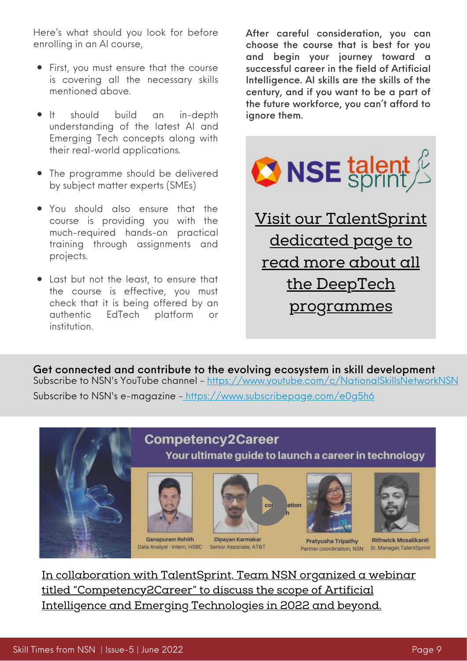Here's what should you look for before enrolling in an AI course,

- First, you must ensure that the course is covering all the necessary skills mentioned above.
- **•** It should build an in-depth understanding of the latest AI and Emerging Tech concepts along with their real-world applications.
- The programme should be delivered by subject matter experts (SMEs)
- You should also ensure that the course is providing you with the much-required hands-on practical training through assignments and projects.
- Last but not the least, to ensure that the course is effective, you must check that it is being offered by an authentic EdTech platform or institution.

After careful consideration, you can choose the course that is best for you and begin your journey toward a successful career in the field of Artificial Intelligence. AI skills are the skills of the century, and if you want to be a part of the future workforce, you can't afford to ignore them.



[programmes](https://www.nationalskillsnetwork.in/talentsprint/)

Get connected and contribute to the evolving ecosystem in skill development Subscribe to NSN's YouTube channel - <https://www.youtube.com/c/NationalSkillsNetworkNSN> Subscribe to NSN's e-magazine - <https://www.subscribepage.com/e0g5h6>





Your ultimate guide to launch a career in technology



Data Analyst - Intern, HSBC Senior Associate, AT&T



Dipayan Karmakar



**Pratyusha Tripathy** Partner coordination, NSN



**Rithwick Mosalikanti** Sr. Manager, TalentSprint

In collaboration with TalentSprint, Team NSN organized a webinar titled ["Competency2Career"](https://youtu.be/xLKbQUv2pBs) to discuss the scope of Artificial Intelligence and Emerging Technologies in 2022 and beyond.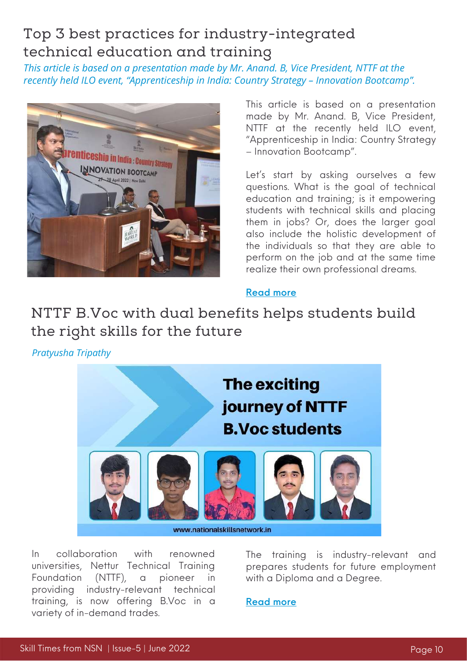## Top 3 best practices for industry-integrated technical education and training

*This article is based on a presentation made by Mr. Anand. B, Vice President, NTTF at the recently held ILO event, "Apprenticeship in India: Country Strategy – Innovation Bootcamp".*



This article is based on a presentation made by Mr. Anand. B, Vice President, NTTF at the recently held ILO event, "Apprenticeship in India: Country Strategy – Innovation Bootcamp".

Let's start by asking ourselves a few questions. What is the goal of technical education and training; is it empowering students with technical skills and placing them in jobs? Or, does the larger goal also include the holistic development of the individuals so that they are able to perform on the job and at the same time realize their own professional dreams.

## [Read](https://www.nationalskillsnetwork.in/top-3-best-practices-for-industry-integrated-technical-education-and-training/) more

## NTTF B.Voc with dual benefits helps students build the right skills for the future

*Pratyusha Tripathy*



www.nationalskillsnetwork.in

In collaboration with renowned [universities,](https://www.nttftrg.com/) Nettur Technical Training Foundation (NTTF), a pioneer in providing industry-relevant technical training, is now offering B.Voc in a variety of in-demand trades.

The training is industry-relevant and prepares students for future employment with a Diploma and a Degree.

[Read](https://www.nationalskillsnetwork.in/nttf-b-voc-with-dual-benefits-helps-students-build-the-right-skills-for-the-future/) more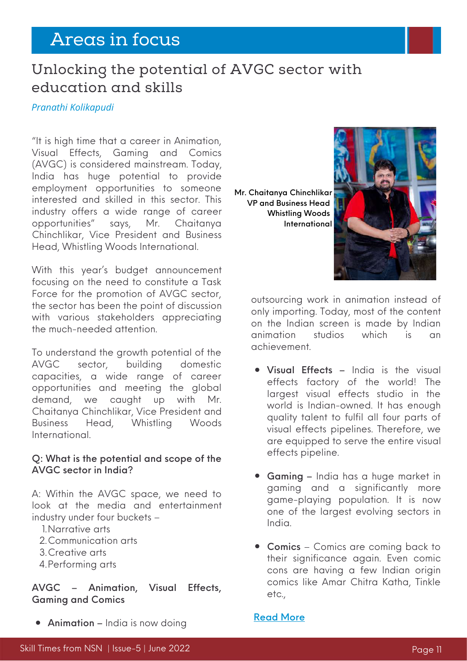# Areas in focus

## Unlocking the potential of AVGC sector with education and skills

*Pranathi Kolikapudi*

"It is high time that a career in Animation, Visual Effects, Gaming and Comics (AVGC) is considered [mainstream.](https://youtu.be/TiU-_5X5Q-s) Today, India has huge potential to provide employment opportunities to someone interested and skilled in this sector. This industry offers a wide range of career opportunities" says, Mr. Chaitanya Chinchlikar, Vice President and Business Head, Whistling Woods International.

With this year's budget announcement focusing on the need to constitute a Task Force for the promotion of AVGC sector, the sector has been the point of discussion with various stakeholders appreciating the much-needed attention.

To understand the growth potential of the AVGC sector, building domestic capacities, a wide range of career opportunities and meeting the global demand, we caught up with Mr. Chaitanya Chinchlikar, Vice President and Business Head, Whistling Woods [International.](https://www.whistlingwoods.net/)

#### Q: What is the potential and scope of the AVGC sector in India?

A: Within the AVGC space, we need to look at the media and entertainment industry under four buckets –

- Narrative arts 1.
- Communication arts 2.
- Creative arts 3.
- 4. Performing arts

## AVGC – Animation, Visual Effects, Gaming and Comics

**• Animation** – India is now doing

Mr. Chaitanya Chinchlikar VP and Business Head Whistling Woods International



outsourcing work in animation instead of only importing. Today, most of the content on the Indian screen is made by Indian animation studios which is an achievement.

- **Visual Effects India is the visual** effects factory of the world! The largest visual effects studio in the world is Indian-owned. It has enough quality talent to fulfil all four parts of visual effects pipelines. Therefore, we are equipped to serve the entire visual effects pipeline.
- Gaming India has a huge market in gaming and a significantly more game-playing population. It is now one of the largest evolving sectors in India.
- Comics Comics are coming back to their significance again. Even comic cons are having a few Indian origin comics like Amar Chitra Katha, Tinkle etc.,

#### [Read](https://www.nationalskillsnetwork.in/unlocking-the-potential-of-avgc-sector-with-education-and-skills/) More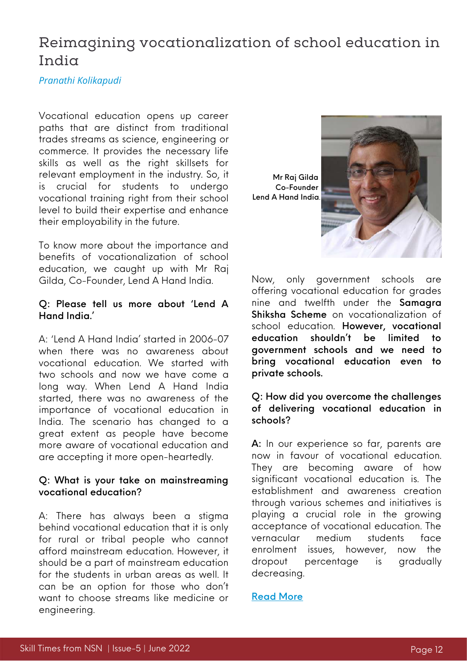## Reimagining vocationalization of school education in India

#### *Pranathi Kolikapudi*

Vocational education opens up career paths that are distinct from traditional trades streams as science, engineering or commerce. It provides the necessary life skills as well as the right skillsets for relevant employment in the industry. So, it is crucial for students to undergo vocational training right from their school level to build their expertise and enhance their employability in the future.

To know more about the importance and benefits of vocationalization of school education, we caught up with Mr Raj Gilda, Co-Founder, Lend A [Hand](https://lendahandindia.org/) India.

#### Q: Please tell us more about 'Lend A Hand India.'

A: 'Lend A Hand India' started in 2006-07 when there was no awareness about vocational education. We started with two schools and now we have come a long way. When Lend A Hand India started, there was no awareness of the importance of vocational education in India. The scenario has changed to a great extent as people have become more aware of vocational education and are accepting it more open-heartedly.

#### Q: What is your take on mainstreaming vocational education?

A: There has always been a stigma behind vocational education that it is only for rural or tribal people who cannot afford mainstream education. However, it should be a part of mainstream education for the students in urban areas as well. It can be an option for those who don't want to choose streams like medicine or engineering.



Now, only government schools are offering vocational education for grades nine and twelfth under the Samagra Shiksha Scheme on vocationalization of school education. However, vocational education shouldn't be limited to government schools and we need to bring vocational education even to private schools.

#### Q: How did you overcome the challenges of delivering vocational education in schools?

A: In our experience so far, parents are now in favour of vocational education. They are becoming aware of how significant vocational education is. The establishment and awareness creation through various schemes and initiatives is playing a crucial role in the growing acceptance of vocational education. The vernacular medium students face enrolment issues, however, now the dropout percentage is gradually decreasing.

#### [Read](https://www.nationalskillsnetwork.in/reimagining-vocationalization-of-school-education-in-india/) More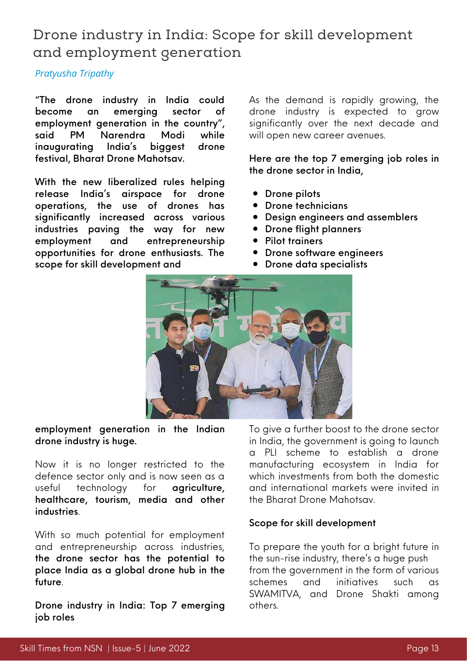## Drone industry in India: Scope for skill development and employment generation

## *Pratyusha Tripathy*

"The drone industry in India could become an emerging sector of employment generation in the country", said PM Narendra Modi while inaugurating India's biggest drone festival, Bharat Drone [Mahotsav.](https://pib.gov.in/PressReleasePage.aspx?PRID=1828683)

With the new liberalized rules helping release India's airspace for drone operations, the use of drones has significantly increased across various industries paving the way for new employment and entrepreneurship opportunities for drone enthusiasts. The scope for skill development and

As the demand is rapidly growing, the drone industry is expected to grow significantly over the next decade and will open new career avenues.

Here are the top 7 emerging job roles in the drone sector in India,

- Drone pilots
- Drone technicians
- Design engineers and assemblers
- Drone flight planners
- Pilot trainers
- Drone software engineers
- Drone data specialists



employment generation in the Indian drone industry is huge.

Now it is no longer restricted to the defence sector only and is now seen as a useful technology for **agriculture**, healthcare, tourism, media and other industries.

With so much potential for employment and entrepreneurship across industries, the drone sector has the potential to place India as a global drone hub in the future.

Drone industry in India: Top 7 emerging job roles

To give a further boost to the drone sector in India, the government is going to launch a PLI scheme to establish a drone manufacturing ecosystem in India for which investments from both the domestic and international markets were invited in the Bharat Drone Mahotsav.

## Scope for skill development

To prepare the youth for a bright future in the sun-rise industry, there's a huge push from the government in the form of various schemes and initiatives such as SWAMITVA, and Drone Shakti among others.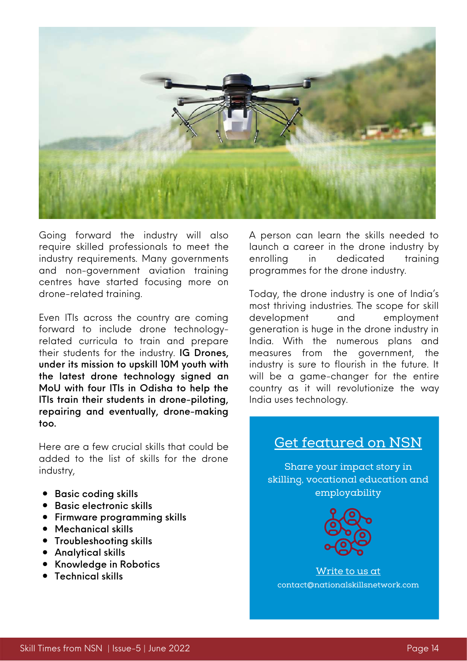

Going forward the industry will also require skilled professionals to meet the industry requirements. Many governments and non-government aviation training centres have started focusing more on drone-related training.

Even ITIs across the country are coming forward to include drone technologyrelated curricula to train and prepare their students for the industry. IG Drones, under its mission to upskill 10M youth with the latest drone technology signed an MoU with four ITIs in Odisha to help the ITIs train their students in drone-piloting, repairing and eventually, drone-making too.

Here are a few crucial skills that could be added to the list of skills for the drone industry,

- Basic coding skills
- Basic electronic skills
- Firmware programming skills
- Mechanical skills
- **•** Troubleshooting skills
- Analytical skills
- Knowledge in Robotics
- Technical skills

A person can learn the skills needed to launch a career in the drone industry by enrolling in dedicated training programmes for the drone industry.

Today, the drone industry is one of India's most thriving industries. The scope for skill development and employment generation is huge in the drone industry in India. With the numerous plans and measures from the government, the industry is sure to flourish in the future. It will be a game-changer for the entire country as it will revolutionize the way India uses technology.

## Get featured on NSN

Share your impact story in skilling, vocational education and employability



Write to us at contact@nationalskillsnetwork.com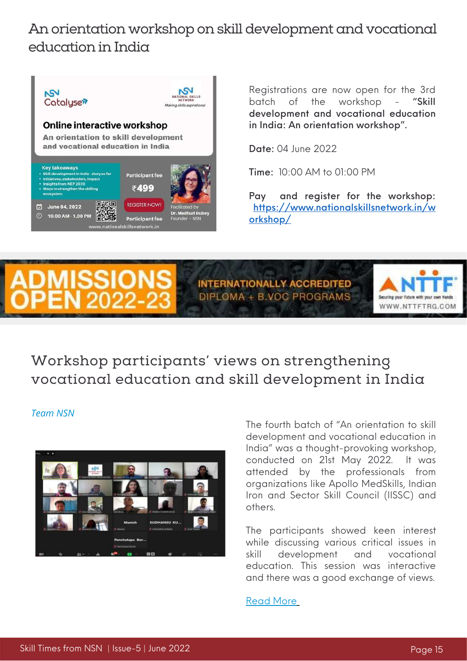## An orientation workshop on skill development and vocational education in India



Registrations are now open for the 3rd batch of the workshop - "Skill development and vocational education in India: An orientation workshop".

Date: 04 June 2022

Time: 10:00 AM to 01:00 PM

Pay and register for the workshop: [https://www.nationalskillsnetwork.in/w](https://www.nationalskillsnetwork.in/workshop/) orkshop/



**INTERNATIONALLY ACCREDITED** DIPLOMA + B.VOC PROGRAMS



## Workshop participants' views on strengthening vocational education and skill development in India

#### *Team NSN*



The fourth batch of "An orientation to skill development and vocational education in India" was a [thought-provoking](https://www.nationalskillsnetwork.in/skill-development-and-vocational-education-in-india-an-orientation-workshop/) workshop, conducted on 21st May 2022. It was attended by the professionals from organizations like Apollo MedSkills, Indian Iron and Sector Skill Council (IISSC) and others.

The participants showed keen interest while discussing various critical issues in skill development and vocational education. This session was interactive and there was a good exchange of views.

[Read](https://www.nationalskillsnetwork.in/workshop-participants-views-on-strengthening-vocational-education-and-skill-development-in-india/) More